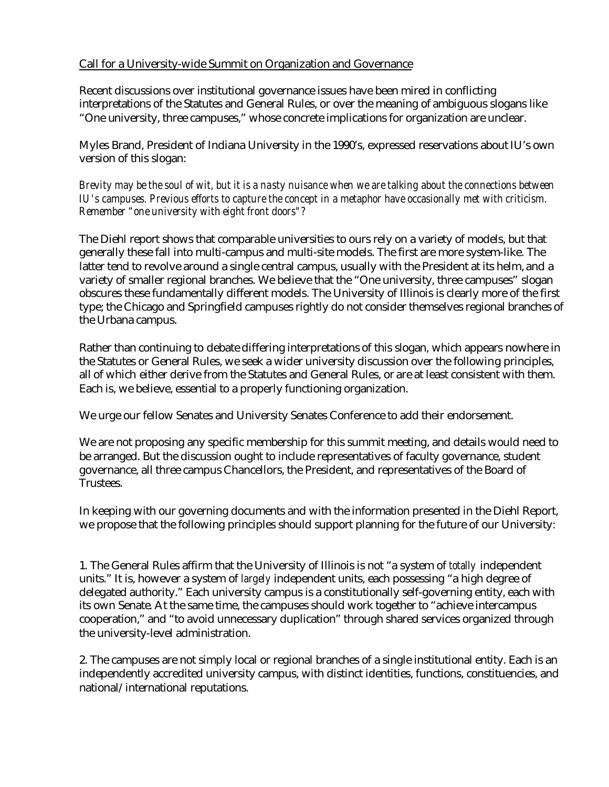## Call for a University-wide Summit on Organization and Governance

Recent discussions over institutional governance issues have been mired in conflicting interpretations of the Statutes and General Rules, or over the meaning of ambiguous slogans like "One university, three campuses," whose concrete implications for organization are unclear.

Myles Brand, President of Indiana University in the 1990's, expressed reservations about IU's own version of this slogan:

*Brevity may be the soul of wit, but it is a nasty nuisance when we are talking about the connections between IU's campuses. Previous efforts to capture the concept in a metaphor have occasionally met with criticism. Remember "one university with eight front doors"?*

The Diehl report shows that comparable universities to ours rely on a variety of models, but that generally these fall into multi-campus and multi-site models. The first are more system-like. The latter tend to revolve around a single central campus, usually with the President at its helm, and a variety of smaller regional branches. We believe that the "One university, three campuses" slogan obscures these fundamentally different models. The University of Illinois is clearly more of the first type; the Chicago and Springfield campuses rightly do not consider themselves regional branches of the Urbana campus.

Rather than continuing to debate differing interpretations of this slogan, which appears nowhere in the Statutes or General Rules, we seek a wider university discussion over the following principles, all of which either derive from the Statutes and General Rules, or are at least consistent with them. Each is, we believe, essential to a properly functioning organization.

We urge our fellow Senates and University Senates Conference to add their endorsement.

We are not proposing any specific membership for this summit meeting, and details would need to be arranged. But the discussion ought to include representatives of faculty governance, student governance, all three campus Chancellors, the President, and representatives of the Board of Trustees.

In keeping with our governing documents and with the information presented in the Diehl Report, we propose that the following principles should support planning for the future of our University:

1. The General Rules affirm that the University of Illinois is not "a system of *totally* independent units." It is, however a system of *largely* independent units, each possessing "a high degree of delegated authority." Each university campus is a constitutionally self-governing entity, each with its own Senate. At the same time, the campuses should work together to "achieve intercampus cooperation," and "to avoid unnecessary duplication" through shared services organized through the university-level administration.

2. The campuses are not simply local or regional branches of a single institutional entity. Each is an independently accredited university campus, with distinct identities, functions, constituencies, and national/international reputations.